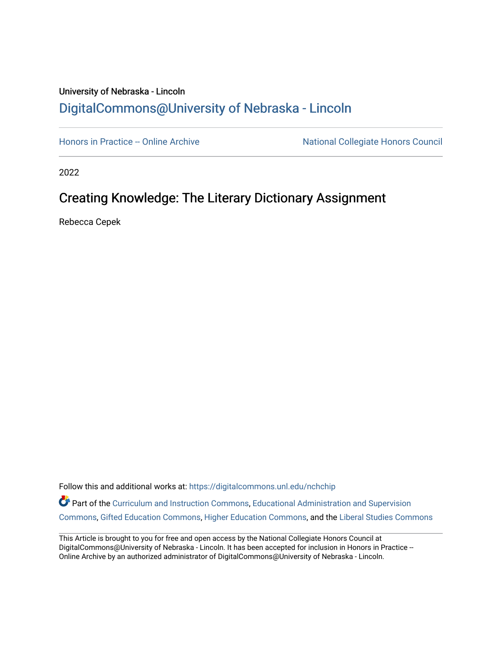## University of Nebraska - Lincoln [DigitalCommons@University of Nebraska - Lincoln](https://digitalcommons.unl.edu/)

[Honors in Practice -- Online Archive](https://digitalcommons.unl.edu/nchchip) National Collegiate Honors Council

2022

## Creating Knowledge: The Literary Dictionary Assignment

Rebecca Cepek

Follow this and additional works at: [https://digitalcommons.unl.edu/nchchip](https://digitalcommons.unl.edu/nchchip?utm_source=digitalcommons.unl.edu%2Fnchchip%2F376&utm_medium=PDF&utm_campaign=PDFCoverPages) 

Part of the [Curriculum and Instruction Commons,](http://network.bepress.com/hgg/discipline/786?utm_source=digitalcommons.unl.edu%2Fnchchip%2F376&utm_medium=PDF&utm_campaign=PDFCoverPages) Educational Administration and Supervision [Commons](http://network.bepress.com/hgg/discipline/787?utm_source=digitalcommons.unl.edu%2Fnchchip%2F376&utm_medium=PDF&utm_campaign=PDFCoverPages), [Gifted Education Commons,](http://network.bepress.com/hgg/discipline/1048?utm_source=digitalcommons.unl.edu%2Fnchchip%2F376&utm_medium=PDF&utm_campaign=PDFCoverPages) [Higher Education Commons](http://network.bepress.com/hgg/discipline/1245?utm_source=digitalcommons.unl.edu%2Fnchchip%2F376&utm_medium=PDF&utm_campaign=PDFCoverPages), and the [Liberal Studies Commons](http://network.bepress.com/hgg/discipline/1042?utm_source=digitalcommons.unl.edu%2Fnchchip%2F376&utm_medium=PDF&utm_campaign=PDFCoverPages)

This Article is brought to you for free and open access by the National Collegiate Honors Council at DigitalCommons@University of Nebraska - Lincoln. It has been accepted for inclusion in Honors in Practice --Online Archive by an authorized administrator of DigitalCommons@University of Nebraska - Lincoln.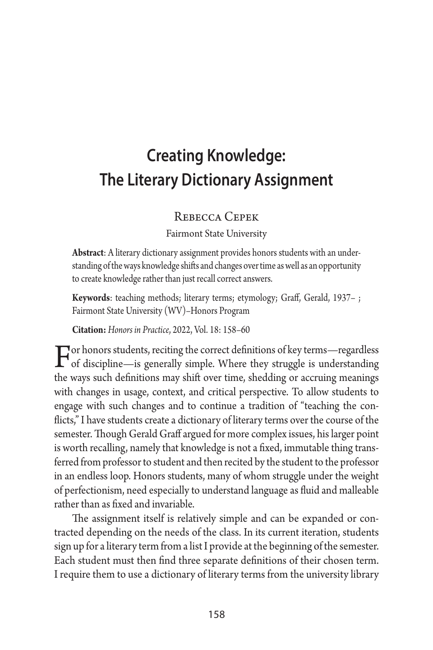# **Creating Knowledge: The Literary Dictionary Assignment**

#### Rebecca Cepek

Fairmont State University

**Abstract**: A literary dictionary assignment provides honors students with an understanding of the ways knowledge shifts and changes over time as well as an opportunity to create knowledge rather than just recall correct answers.

**Keywords**: teaching methods; literary terms; etymology; Graff, Gerald, 1937– ; Fairmont State University (WV)–Honors Program

**Citation:** *Honors in Practice*, 2022, Vol. 18: 158–60

 $\Gamma$  or honors students, reciting the correct definitions of key terms—regardless of discipline—is generally simple. Where they struggle is understanding the ways such definitions may shift over time, shedding or accruing meanings with changes in usage, context, and critical perspective. To allow students to engage with such changes and to continue a tradition of "teaching the conflicts," I have students create a dictionary of literary terms over the course of the semester. Though Gerald Graff argued for more complex issues, his larger point is worth recalling, namely that knowledge is not a fixed, immutable thing transferred from professor to student and then recited by the student to the professor in an endless loop. Honors students, many of whom struggle under the weight of perfectionism, need especially to understand language as fluid and malleable rather than as fixed and invariable.

The assignment itself is relatively simple and can be expanded or contracted depending on the needs of the class. In its current iteration, students sign up for a literary term from a list I provide at the beginning of the semester. Each student must then find three separate definitions of their chosen term. I require them to use a dictionary of literary terms from the university library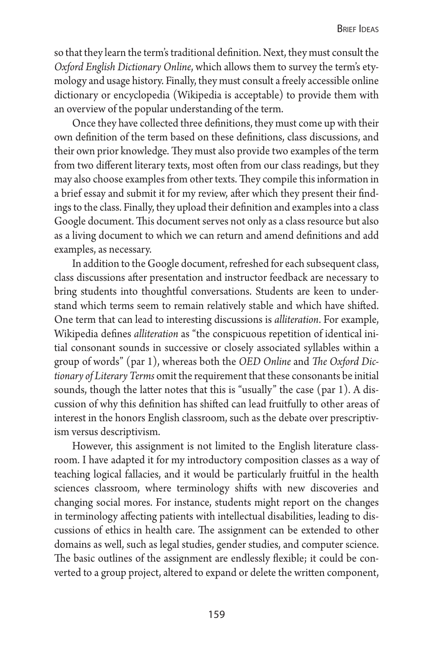so that they learn the term's traditional definition. Next, they must consult the *Oxford English Dictionary Online*, which allows them to survey the term's etymology and usage history. Finally, they must consult a freely accessible online dictionary or encyclopedia (Wikipedia is acceptable) to provide them with an overview of the popular understanding of the term.

Once they have collected three definitions, they must come up with their own definition of the term based on these definitions, class discussions, and their own prior knowledge. They must also provide two examples of the term from two different literary texts, most often from our class readings, but they may also choose examples from other texts. They compile this information in a brief essay and submit it for my review, after which they present their findings to the class. Finally, they upload their definition and examples into a class Google document. This document serves not only as a class resource but also as a living document to which we can return and amend definitions and add examples, as necessary.

In addition to the Google document, refreshed for each subsequent class, class discussions after presentation and instructor feedback are necessary to bring students into thoughtful conversations. Students are keen to understand which terms seem to remain relatively stable and which have shifted. One term that can lead to interesting discussions is *alliteration*. For example, Wikipedia defines *alliteration* as "the conspicuous repetition of identical initial consonant sounds in successive or closely associated syllables within a group of words" (par 1), whereas both the *OED Online* and *The Oxford Dictionary of Literary Terms* omit the requirement that these consonants be initial sounds, though the latter notes that this is "usually" the case (par 1). A discussion of why this definition has shifted can lead fruitfully to other areas of interest in the honors English classroom, such as the debate over prescriptivism versus descriptivism.

However, this assignment is not limited to the English literature classroom. I have adapted it for my introductory composition classes as a way of teaching logical fallacies, and it would be particularly fruitful in the health sciences classroom, where terminology shifts with new discoveries and changing social mores. For instance, students might report on the changes in terminology affecting patients with intellectual disabilities, leading to discussions of ethics in health care. The assignment can be extended to other domains as well, such as legal studies, gender studies, and computer science. The basic outlines of the assignment are endlessly flexible; it could be converted to a group project, altered to expand or delete the written component,